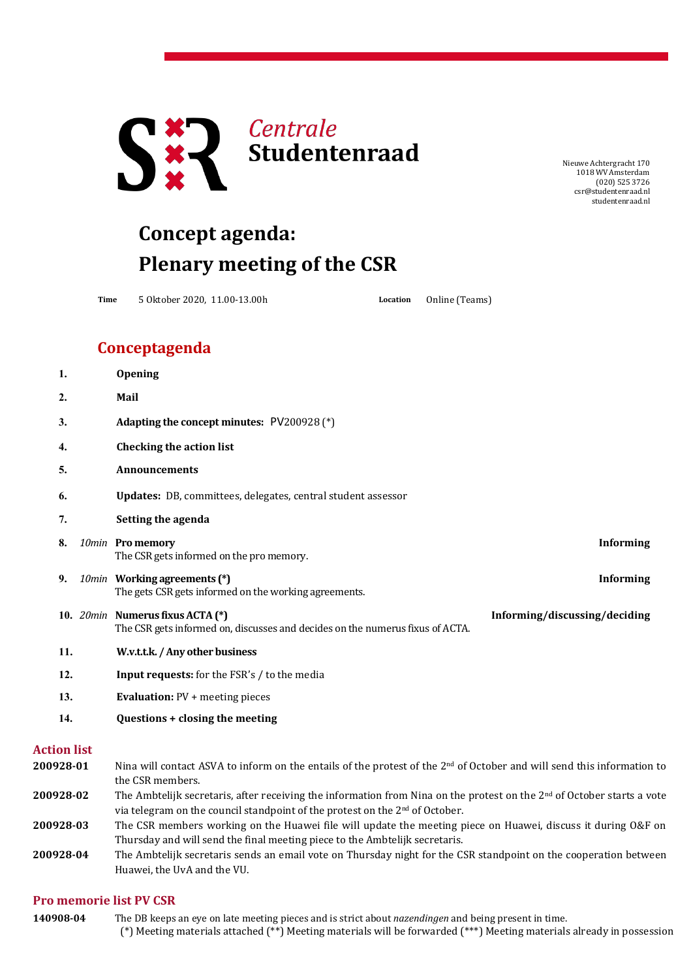

NieuweAchtergracht 170 1018 WV Amsterdam (020) 525 3726 [csr@studentenraad.nl](mailto:csr@studentenraad.nl) studentenraad.nl

## **Concept agenda: Plenary meeting of the CSR**

**Time** 5 Oktober 2020, 11.00-13.00h **Location** Online (Teams)

## **Conceptagenda**

| 1.  | <b>Opening</b>                                                                                                    |                               |
|-----|-------------------------------------------------------------------------------------------------------------------|-------------------------------|
| 2.  | Mail                                                                                                              |                               |
| 3.  | Adapting the concept minutes: PV200928 (*)                                                                        |                               |
| 4.  | <b>Checking the action list</b>                                                                                   |                               |
| 5.  | <b>Announcements</b>                                                                                              |                               |
| 6.  | Updates: DB, committees, delegates, central student assessor                                                      |                               |
| 7.  | Setting the agenda                                                                                                |                               |
| 8.  | 10min Pro memory<br>The CSR gets informed on the pro memory.                                                      | <b>Informing</b>              |
| 9.  | 10min Working agreements (*)<br>The gets CSR gets informed on the working agreements.                             | <b>Informing</b>              |
|     | 10. 20min Numerus fixus ACTA (*)<br>The CSR gets informed on, discusses and decides on the numerus fixus of ACTA. | Informing/discussing/deciding |
| 11. | W.v.t.t.k. / Any other business                                                                                   |                               |
| 12. | Input requests: for the FSR's / to the media                                                                      |                               |
| 13. | <b>Evaluation: PV + meeting pieces</b>                                                                            |                               |
| 14. | Questions + closing the meeting                                                                                   |                               |

## **Action list**

| 200928-01 | Nina will contact ASVA to inform on the entails of the protest of the $2nd$ of October and will send this information to |  |
|-----------|--------------------------------------------------------------------------------------------------------------------------|--|
|           | the CSR members.                                                                                                         |  |
| 200928-02 | The Ambtelijk secretaris, after receiving the information from Nina on the protest on the $2nd$ of October starts a vote |  |
|           | via telegram on the council standpoint of the protest on the 2 <sup>nd</sup> of October.                                 |  |
| 200928-03 | The CSR members working on the Huawei file will update the meeting piece on Huawei, discuss it during O&F on             |  |
|           | Thursday and will send the final meeting piece to the Ambtelijk secretaris.                                              |  |
| 200928-04 | The Ambtelijk secretaris sends an email vote on Thursday night for the CSR standpoint on the cooperation between         |  |
|           | Huawei, the UvA and the VU.                                                                                              |  |

## **Pro memorie list PV CSR**

(\*) Meeting materials attached (\*\*) Meeting materials will be forwarded (\*\*\*) Meeting materials already in possession **140908-04** The DB keeps an eye on late meeting pieces and is strict about *nazendingen* and being present in time.